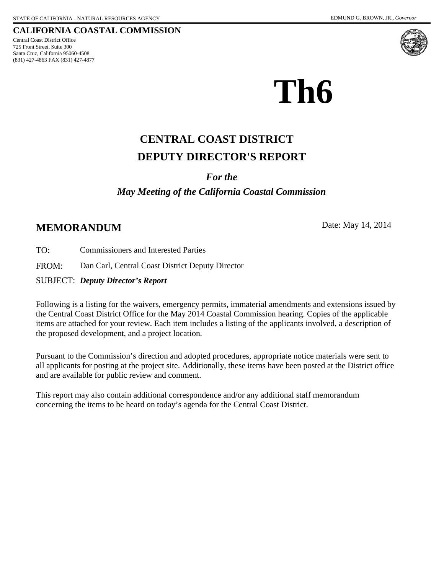725 Front Street, Suite 300 Santa Cruz, California 95060-4508 (831) 427-4863 FAX (831) 427-4877 Central Coast District Office





# **Th6**

## **DEPUTY DIRECTOR'S REPORT CENTRAL COAST DISTRICT**

#### *For the*

#### *May Meeting of the California Coastal Commission*

#### **MEMORANDUM** Date: May 14, 2014

TO: Commissioners and Interested Parties

FROM: Dan Carl, Central Coast District Deputy Director

SUBJECT: *Deputy Director's Report*

Following is a listing for the waivers, emergency permits, immaterial amendments and extensions issued by the Central Coast District Office for the May 2014 Coastal Commission hearing. Copies of the applicable items are attached for your review. Each item includes a listing of the applicants involved, a description of the proposed development, and a project location.

Pursuant to the Commission's direction and adopted procedures, appropriate notice materials were sent to all applicants for posting at the project site. Additionally, these items have been posted at the District office and are available for public review and comment.

This report may also contain additional correspondence and/or any additional staff memorandum concerning the items to be heard on today's agenda for the Central Coast District.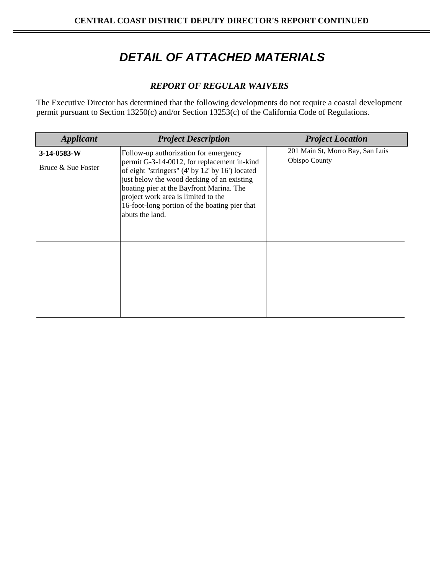## *DETAIL OF ATTACHED MATERIALS*

#### *REPORT OF REGULAR WAIVERS*

The Executive Director has determined that the following developments do not require a coastal development permit pursuant to Section 13250(c) and/or Section 13253(c) of the California Code of Regulations.

| <b>Applicant</b>   | <b>Project Description</b>                                                                                                                                                                                                                                                                          | <b>Project Location</b>          |
|--------------------|-----------------------------------------------------------------------------------------------------------------------------------------------------------------------------------------------------------------------------------------------------------------------------------------------------|----------------------------------|
| $3-14-0583-W$      | Follow-up authorization for emergency                                                                                                                                                                                                                                                               | 201 Main St, Morro Bay, San Luis |
| Bruce & Sue Foster | permit G-3-14-0012, for replacement in-kind<br>of eight "stringers" (4' by 12' by 16') located<br>just below the wood decking of an existing<br>boating pier at the Bayfront Marina. The<br>project work area is limited to the<br>16-foot-long portion of the boating pier that<br>abuts the land. | Obispo County                    |
|                    |                                                                                                                                                                                                                                                                                                     |                                  |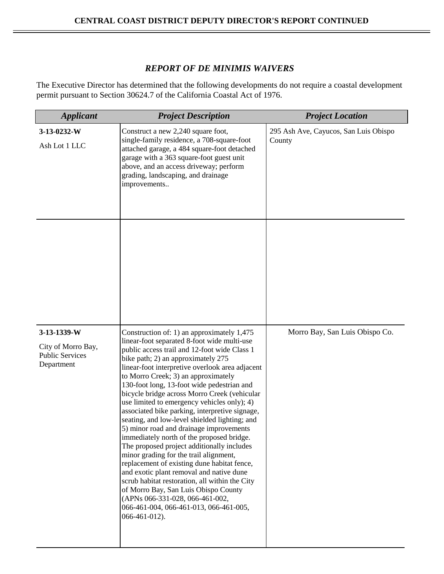#### *REPORT OF DE MINIMIS WAIVERS*

The Executive Director has determined that the following developments do not require a coastal development permit pursuant to Section 30624.7 of the California Coastal Act of 1976.

| <b>Applicant</b>                     | <b>Project Description</b>                                                                                                                                                                                                                                                                                                                                                                                                                                                                                                                                                                                                                                                                                                                                                                                                                      | <b>Project Location</b>                         |
|--------------------------------------|-------------------------------------------------------------------------------------------------------------------------------------------------------------------------------------------------------------------------------------------------------------------------------------------------------------------------------------------------------------------------------------------------------------------------------------------------------------------------------------------------------------------------------------------------------------------------------------------------------------------------------------------------------------------------------------------------------------------------------------------------------------------------------------------------------------------------------------------------|-------------------------------------------------|
| 3-13-0232-W<br>Ash Lot 1 LLC         | Construct a new 2,240 square foot,<br>single-family residence, a 708-square-foot<br>attached garage, a 484 square-foot detached<br>garage with a 363 square-foot guest unit<br>above, and an access driveway; perform<br>grading, landscaping, and drainage<br>improvements                                                                                                                                                                                                                                                                                                                                                                                                                                                                                                                                                                     | 295 Ash Ave, Cayucos, San Luis Obispo<br>County |
| 3-13-1339-W<br>City of Morro Bay,    | Construction of: 1) an approximately 1,475<br>linear-foot separated 8-foot wide multi-use<br>public access trail and 12-foot wide Class 1                                                                                                                                                                                                                                                                                                                                                                                                                                                                                                                                                                                                                                                                                                       | Morro Bay, San Luis Obispo Co.                  |
| <b>Public Services</b><br>Department | bike path; 2) an approximately 275<br>linear-foot interpretive overlook area adjacent<br>to Morro Creek; 3) an approximately<br>130-foot long, 13-foot wide pedestrian and<br>bicycle bridge across Morro Creek (vehicular<br>use limited to emergency vehicles only); 4)<br>associated bike parking, interpretive signage,<br>seating, and low-level shielded lighting; and<br>5) minor road and drainage improvements<br>immediately north of the proposed bridge.<br>The proposed project additionally includes<br>minor grading for the trail alignment,<br>replacement of existing dune habitat fence,<br>and exotic plant removal and native dune<br>scrub habitat restoration, all within the City<br>of Morro Bay, San Luis Obispo County<br>(APNs 066-331-028, 066-461-002,<br>066-461-004, 066-461-013, 066-461-005,<br>066-461-012). |                                                 |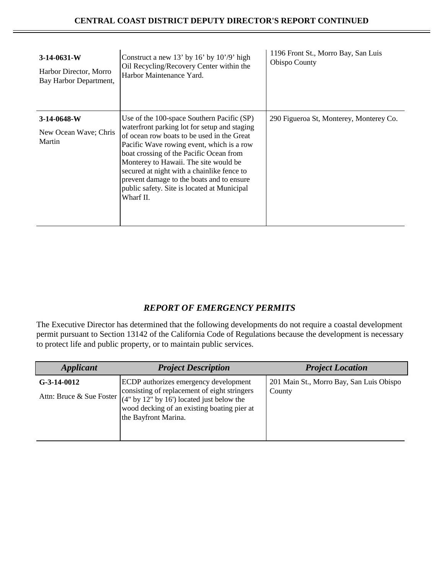| $3-14-0631-W$<br>Harbor Director, Morro<br>Bay Harbor Department, | Construct a new 13' by 16' by $10'/9'$ high<br>Oil Recycling/Recovery Center within the<br>Harbor Maintenance Yard.                                                                                                                                                                                                                                                                                                              | 1196 Front St., Morro Bay, San Luis<br><b>Obispo County</b> |
|-------------------------------------------------------------------|----------------------------------------------------------------------------------------------------------------------------------------------------------------------------------------------------------------------------------------------------------------------------------------------------------------------------------------------------------------------------------------------------------------------------------|-------------------------------------------------------------|
| $3-14-0648-W$<br>New Ocean Wave; Chris<br>Martin                  | Use of the 100-space Southern Pacific (SP)<br>waterfront parking lot for setup and staging<br>of ocean row boats to be used in the Great<br>Pacific Wave rowing event, which is a row<br>boat crossing of the Pacific Ocean from<br>Monterey to Hawaii. The site would be<br>secured at night with a chainlike fence to<br>prevent damage to the boats and to ensure<br>public safety. Site is located at Municipal<br>Wharf II. | 290 Figueroa St, Monterey, Monterey Co.                     |

#### *REPORT OF EMERGENCY PERMITS*

The Executive Director has determined that the following developments do not require a coastal development permit pursuant to Section 13142 of the California Code of Regulations because the development is necessary to protect life and public property, or to maintain public services.

| <b>Applicant</b> | <b>Project Description</b>                                                                                                                                                                                                                                                                   | <b>Project Location</b>                            |
|------------------|----------------------------------------------------------------------------------------------------------------------------------------------------------------------------------------------------------------------------------------------------------------------------------------------|----------------------------------------------------|
| $G-3-14-0012$    | ECDP authorizes emergency development<br>consisting of replacement of eight stringers<br>Attn: Bruce & Sue Foster $\left  \begin{array}{l} 4^n & y & 12^n \\ 4^n & y & 16 \end{array} \right $ located just below the<br>wood decking of an existing boating pier at<br>the Bayfront Marina. | 201 Main St., Morro Bay, San Luis Obispo<br>County |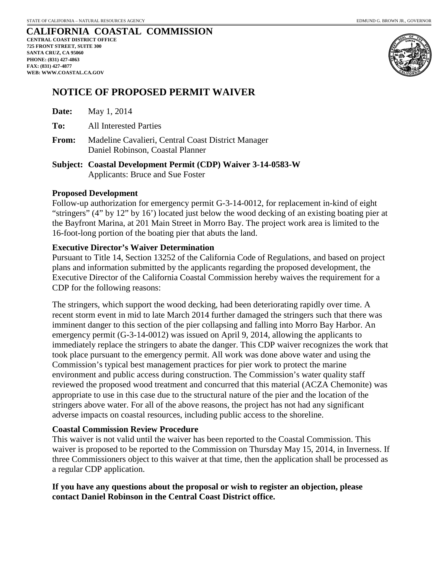#### **CALIFORNIA COASTAL COMMISSION CENTRAL COAST DISTRICT OFFICE 725 FRONT STREET, SUITE 300 SANTA CRUZ, CA 95060 PHONE: (831) 427-4863 FAX: (831) 427-4877 WEB: WWW.COASTAL.CA.GOV**



#### **NOTICE OF PROPOSED PERMIT WAIVER**

- **To:** All Interested Parties
- **From:** Madeline Cavalieri, Central Coast District Manager Daniel Robinson, Coastal Planner
- **Subject: Coastal Development Permit (CDP) Waiver 3-14-0583-W** Applicants: Bruce and Sue Foster

#### **Proposed Development**

Follow-up authorization for emergency permit G-3-14-0012, for replacement in-kind of eight "stringers" (4" by 12" by 16') located just below the wood decking of an existing boating pier at the Bayfront Marina, at 201 Main Street in Morro Bay. The project work area is limited to the 16-foot-long portion of the boating pier that abuts the land.

#### **Executive Director's Waiver Determination**

Pursuant to Title 14, Section 13252 of the California Code of Regulations, and based on project plans and information submitted by the applicants regarding the proposed development, the Executive Director of the California Coastal Commission hereby waives the requirement for a CDP for the following reasons:

The stringers, which support the wood decking, had been deteriorating rapidly over time. A recent storm event in mid to late March 2014 further damaged the stringers such that there was imminent danger to this section of the pier collapsing and falling into Morro Bay Harbor. An emergency permit (G-3-14-0012) was issued on April 9, 2014, allowing the applicants to immediately replace the stringers to abate the danger. This CDP waiver recognizes the work that took place pursuant to the emergency permit. All work was done above water and using the Commission's typical best management practices for pier work to protect the marine environment and public access during construction. The Commission's water quality staff reviewed the proposed wood treatment and concurred that this material (ACZA Chemonite) was appropriate to use in this case due to the structural nature of the pier and the location of the stringers above water. For all of the above reasons, the project has not had any significant adverse impacts on coastal resources, including public access to the shoreline.

#### **Coastal Commission Review Procedure**

This waiver is not valid until the waiver has been reported to the Coastal Commission. This waiver is proposed to be reported to the Commission on Thursday May 15, 2014, in Inverness. If three Commissioners object to this waiver at that time, then the application shall be processed as a regular CDP application.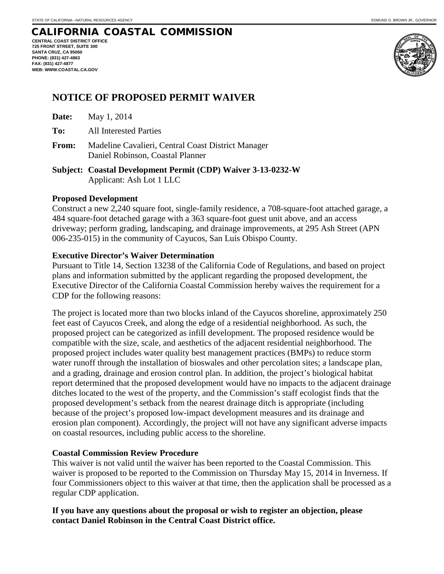**CENTRAL COAST DISTRICT OFFICE 725 FRONT STREET, SUITE 300 SANTA CRUZ, CA 95060 PHONE: (831) 427-4863 FAX: (831) 427-4877 WEB: WWW.COASTAL.CA.GOV**





#### **NOTICE OF PROPOSED PERMIT WAIVER**

| Date: | May 1, 2014 |
|-------|-------------|
|-------|-------------|

- **To:** All Interested Parties
- **From:** Madeline Cavalieri, Central Coast District Manager Daniel Robinson, Coastal Planner

**Subject: Coastal Development Permit (CDP) Waiver 3-13-0232-W** Applicant: Ash Lot 1 LLC

#### **Proposed Development**

Construct a new 2,240 square foot, single-family residence, a 708-square-foot attached garage, a 484 square-foot detached garage with a 363 square-foot guest unit above, and an access driveway; perform grading, landscaping, and drainage improvements, at 295 Ash Street (APN 006-235-015) in the community of Cayucos, San Luis Obispo County.

#### **Executive Director's Waiver Determination**

Pursuant to Title 14, Section 13238 of the California Code of Regulations, and based on project plans and information submitted by the applicant regarding the proposed development, the Executive Director of the California Coastal Commission hereby waives the requirement for a CDP for the following reasons:

The project is located more than two blocks inland of the Cayucos shoreline, approximately 250 feet east of Cayucos Creek, and along the edge of a residential neighborhood. As such, the proposed project can be categorized as infill development. The proposed residence would be compatible with the size, scale, and aesthetics of the adjacent residential neighborhood. The proposed project includes water quality best management practices (BMPs) to reduce storm water runoff through the installation of bioswales and other percolation sites; a landscape plan, and a grading, drainage and erosion control plan. In addition, the project's biological habitat report determined that the proposed development would have no impacts to the adjacent drainage ditches located to the west of the property, and the Commission's staff ecologist finds that the proposed development's setback from the nearest drainage ditch is appropriate (including because of the project's proposed low-impact development measures and its drainage and erosion plan component). Accordingly, the project will not have any significant adverse impacts on coastal resources, including public access to the shoreline.

#### **Coastal Commission Review Procedure**

This waiver is not valid until the waiver has been reported to the Coastal Commission. This waiver is proposed to be reported to the Commission on Thursday May 15, 2014 in Inverness. If four Commissioners object to this waiver at that time, then the application shall be processed as a regular CDP application.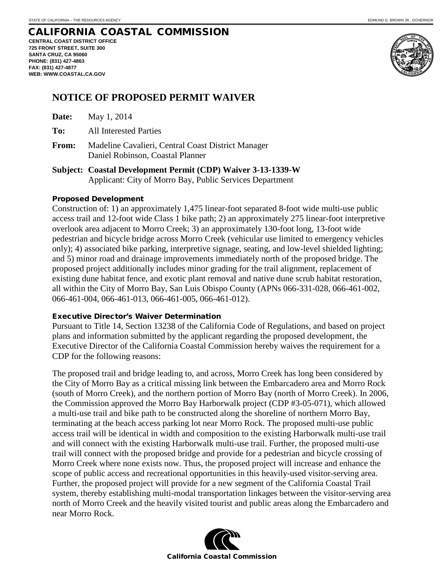#### CALIFORNIA COASTAL COMMISSION **CENTRAL COAST DISTRICT OFFICE 725 FRONT STREET, SUITE 300 SANTA CRUZ, CA 95060**

**PHONE: (831) 427-4863 FAX: (831) 427-4877 WEB: WWW.COASTAL.CA.GOV**



#### **NOTICE OF PROPOSED PERMIT WAIVER**

| Date: | May 1, 2014 |
|-------|-------------|
|       |             |

- **To:** All Interested Parties
- **From:** Madeline Cavalieri, Central Coast District Manager Daniel Robinson, Coastal Planner

**Subject: Coastal Development Permit (CDP) Waiver 3-13-1339-W** Applicant: City of Morro Bay, Public Services Department

#### Proposed Development

Construction of: 1) an approximately 1,475 linear-foot separated 8-foot wide multi-use public access trail and 12-foot wide Class 1 bike path; 2) an approximately 275 linear-foot interpretive overlook area adjacent to Morro Creek; 3) an approximately 130-foot long, 13-foot wide pedestrian and bicycle bridge across Morro Creek (vehicular use limited to emergency vehicles only); 4) associated bike parking, interpretive signage, seating, and low-level shielded lighting; and 5) minor road and drainage improvements immediately north of the proposed bridge. The proposed project additionally includes minor grading for the trail alignment, replacement of existing dune habitat fence, and exotic plant removal and native dune scrub habitat restoration, all within the City of Morro Bay, San Luis Obispo County (APNs 066-331-028, 066-461-002, 066-461-004, 066-461-013, 066-461-005, 066-461-012).

#### Executive Director's Waiver Determination

Pursuant to Title 14, Section 13238 of the California Code of Regulations, and based on project plans and information submitted by the applicant regarding the proposed development, the Executive Director of the California Coastal Commission hereby waives the requirement for a CDP for the following reasons:

The proposed trail and bridge leading to, and across, Morro Creek has long been considered by the City of Morro Bay as a critical missing link between the Embarcadero area and Morro Rock (south of Morro Creek), and the northern portion of Morro Bay (north of Morro Creek). In 2006, the Commission approved the Morro Bay Harborwalk project (CDP #3-05-071), which allowed a multi-use trail and bike path to be constructed along the shoreline of northern Morro Bay, terminating at the beach access parking lot near Morro Rock. The proposed multi-use public access trail will be identical in width and composition to the existing Harborwalk multi-use trail and will connect with the existing Harborwalk multi-use trail. Further, the proposed multi-use trail will connect with the proposed bridge and provide for a pedestrian and bicycle crossing of Morro Creek where none exists now. Thus, the proposed project will increase and enhance the scope of public access and recreational opportunities in this heavily-used visitor-serving area. Further, the proposed project will provide for a new segment of the California Coastal Trail system, thereby establishing multi-modal transportation linkages between the visitor-serving area north of Morro Creek and the heavily visited tourist and public areas along the Embarcadero and near Morro Rock.

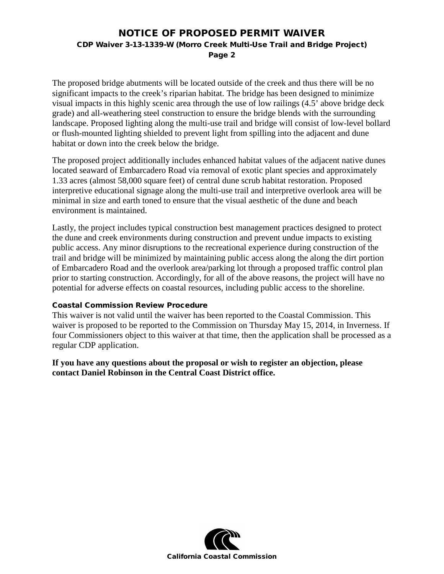#### NOTICE OF PROPOSED PERMIT WAIVER CDP Waiver 3-13-1339-W (Morro Creek Multi-Use Trail and Bridge Project) Page 2

The proposed bridge abutments will be located outside of the creek and thus there will be no significant impacts to the creek's riparian habitat. The bridge has been designed to minimize visual impacts in this highly scenic area through the use of low railings (4.5' above bridge deck grade) and all-weathering steel construction to ensure the bridge blends with the surrounding landscape. Proposed lighting along the multi-use trail and bridge will consist of low-level bollard or flush-mounted lighting shielded to prevent light from spilling into the adjacent and dune habitat or down into the creek below the bridge.

The proposed project additionally includes enhanced habitat values of the adjacent native dunes located seaward of Embarcadero Road via removal of exotic plant species and approximately 1.33 acres (almost 58,000 square feet) of central dune scrub habitat restoration. Proposed interpretive educational signage along the multi-use trail and interpretive overlook area will be minimal in size and earth toned to ensure that the visual aesthetic of the dune and beach environment is maintained.

Lastly, the project includes typical construction best management practices designed to protect the dune and creek environments during construction and prevent undue impacts to existing public access. Any minor disruptions to the recreational experience during construction of the trail and bridge will be minimized by maintaining public access along the along the dirt portion of Embarcadero Road and the overlook area/parking lot through a proposed traffic control plan prior to starting construction. Accordingly, for all of the above reasons, the project will have no potential for adverse effects on coastal resources, including public access to the shoreline.

#### Coastal Commission Review Procedure

This waiver is not valid until the waiver has been reported to the Coastal Commission. This waiver is proposed to be reported to the Commission on Thursday May 15, 2014, in Inverness. If four Commissioners object to this waiver at that time, then the application shall be processed as a regular CDP application.

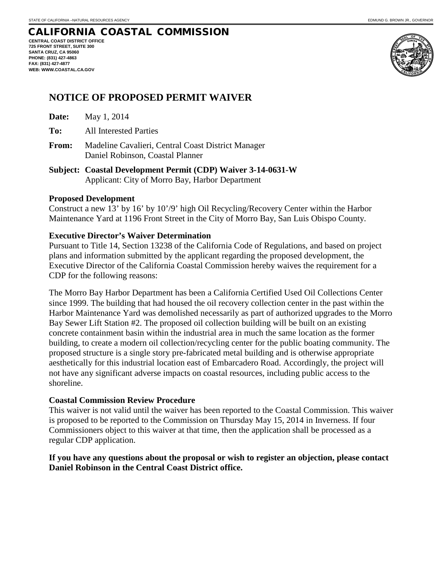**CENTRAL COAST DISTRICT OFFICE 725 FRONT STREET, SUITE 300 SANTA CRUZ, CA 95060 PHONE: (831) 427-4863 FAX: (831) 427-4877 WEB: WWW.COASTAL.CA.GOV**



### **NOTICE OF PROPOSED PERMIT WAIVER**

- **To:** All Interested Parties
- **From:** Madeline Cavalieri, Central Coast District Manager Daniel Robinson, Coastal Planner
- **Subject: Coastal Development Permit (CDP) Waiver 3-14-0631-W** Applicant: City of Morro Bay, Harbor Department

#### **Proposed Development**

Construct a new 13' by 16' by 10'/9' high Oil Recycling/Recovery Center within the Harbor Maintenance Yard at 1196 Front Street in the City of Morro Bay, San Luis Obispo County.

#### **Executive Director's Waiver Determination**

Pursuant to Title 14, Section 13238 of the California Code of Regulations, and based on project plans and information submitted by the applicant regarding the proposed development, the Executive Director of the California Coastal Commission hereby waives the requirement for a CDP for the following reasons:

The Morro Bay Harbor Department has been a California Certified Used Oil Collections Center since 1999. The building that had housed the oil recovery collection center in the past within the Harbor Maintenance Yard was demolished necessarily as part of authorized upgrades to the Morro Bay Sewer Lift Station #2. The proposed oil collection building will be built on an existing concrete containment basin within the industrial area in much the same location as the former building, to create a modern oil collection/recycling center for the public boating community. The proposed structure is a single story pre-fabricated metal building and is otherwise appropriate aesthetically for this industrial location east of Embarcadero Road. Accordingly, the project will not have any significant adverse impacts on coastal resources, including public access to the shoreline.

#### **Coastal Commission Review Procedure**

This waiver is not valid until the waiver has been reported to the Coastal Commission. This waiver is proposed to be reported to the Commission on Thursday May 15, 2014 in Inverness. If four Commissioners object to this waiver at that time, then the application shall be processed as a regular CDP application.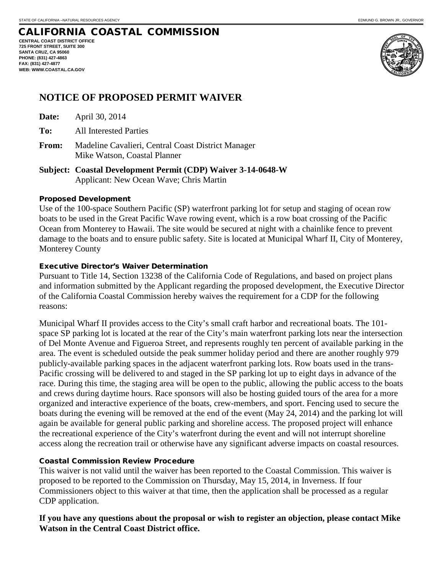**CENTRAL COAST DISTRICT OFFICE 725 FRONT STREET, SUITE 300 SANTA CRUZ, CA 95060 PHONE: (831) 427-4863 FAX: (831) 427-4877 WEB: WWW.COASTAL.CA.GOV**



#### **NOTICE OF PROPOSED PERMIT WAIVER**

**Date:** April 30, 2014

**To:** All Interested Parties

**From:** Madeline Cavalieri, Central Coast District Manager Mike Watson, Coastal Planner

**Subject: Coastal Development Permit (CDP) Waiver 3-14-0648-W** Applicant: New Ocean Wave; Chris Martin

#### Proposed Development

Use of the 100-space Southern Pacific (SP) waterfront parking lot for setup and staging of ocean row boats to be used in the Great Pacific Wave rowing event, which is a row boat crossing of the Pacific Ocean from Monterey to Hawaii. The site would be secured at night with a chainlike fence to prevent damage to the boats and to ensure public safety. Site is located at Municipal Wharf II, City of Monterey, Monterey County

#### Executive Director's Waiver Determination

Pursuant to Title 14, Section 13238 of the California Code of Regulations, and based on project plans and information submitted by the Applicant regarding the proposed development, the Executive Director of the California Coastal Commission hereby waives the requirement for a CDP for the following reasons:

Municipal Wharf II provides access to the City's small craft harbor and recreational boats. The 101 space SP parking lot is located at the rear of the City's main waterfront parking lots near the intersection of Del Monte Avenue and Figueroa Street, and represents roughly ten percent of available parking in the area. The event is scheduled outside the peak summer holiday period and there are another roughly 979 publicly-available parking spaces in the adjacent waterfront parking lots. Row boats used in the trans-Pacific crossing will be delivered to and staged in the SP parking lot up to eight days in advance of the race. During this time, the staging area will be open to the public, allowing the public access to the boats and crews during daytime hours. Race sponsors will also be hosting guided tours of the area for a more organized and interactive experience of the boats, crew-members, and sport. Fencing used to secure the boats during the evening will be removed at the end of the event (May 24, 2014) and the parking lot will again be available for general public parking and shoreline access. The proposed project will enhance the recreational experience of the City's waterfront during the event and will not interrupt shoreline access along the recreation trail or otherwise have any significant adverse impacts on coastal resources.

#### Coastal Commission Review Procedure

This waiver is not valid until the waiver has been reported to the Coastal Commission. This waiver is proposed to be reported to the Commission on Thursday, May 15, 2014, in Inverness. If four Commissioners object to this waiver at that time, then the application shall be processed as a regular CDP application.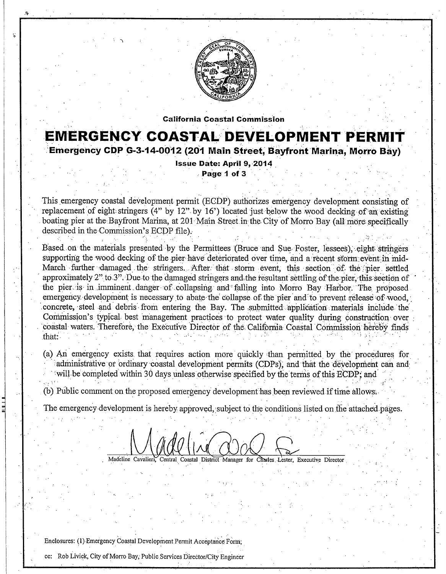

**California Coastal Commission** 

## **EMERGENCY COASTAL DEVELOPMENT PERM**

Emergency CDP G-3-14-0012 (201 Main Street, Bayfront Marina, Morro Bay)

**Issue Date: April 9, 2014** Page 1 of 3

This emergency coastal development permit (ECDP) authorizes emergency development consisting of replacement of eight stringers (4" by 12" by 16") located just below the wood decking of an existing boating pier at the Bayfront Marina, at 201 Main Street in the City of Morro Bay (all more specifically described in the Commission's ECDP file).

Based on the materials presented by the Permittees (Bruce and Sue Foster, lessees), eight stringers supporting the wood decking of the pier have deteriorated over time, and a recent storm event in mid-March further damaged the stringers. After that storm event, this section of the pier settled approximately 2" to 3". Due to the damaged stringers and the resultant settling of the pier, this section of the pier is in imminent danger of collapsing and falling into Morro Bay Harbor. The proposed emergency development is necessary to abate the collapse of the pier and to prevent release of wood. concrete, steel and debris from entering the Bay. The submitted application materials include the Commission's typical best management practices to protect water quality during construction over coastal waters. Therefore, the Executive Director of the California Coastal Commission hereby finds that:

(a) An emergency exists that requires action more quickly than permitted by the procedures for administrative or ordinary coastal development permits (CDPs), and that the development can and will be completed within 30 days unless otherwise specified by the terms of this ECDP; and

(b) Public comment on the proposed emergency development has been reviewed if time allows.

The emergency development is hereby approved, subject to the conditions listed on the attached pages.

Madeline Cavalieri, Central Coastal District Manager for Charles Lester, Executive Director

Enclosures: (1) Emergency Coastal Development Permit Acceptance Form;

cc: Rob Livick, City of Morro Bay, Public Services Director/City Engineer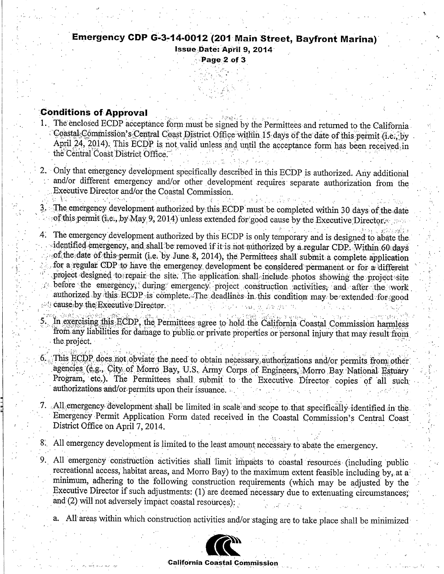#### Emergency CDP G-3-14-0012 (201 Main Street, Bayfront Marina) Issue Date: April 9, 2014

Page 2 of 3

#### **Conditions of Approval**

- 1. The enclosed ECDP acceptance form must be signed by the Permittees and returned to the California. Coastal Commission's Central Coast District Office within 15 days of the date of this permit (i.e., by April 24, 2014). This ECDP is not valid unless and until the acceptance form has been received in the Central Coast District Office.
- 2. Only that emergency development specifically described in this ECDP is authorized. Any additional and/or different emergency and/or other development requires separate authorization from the Executive Director and/or the Coastal Commission.
- 3. The emergency development authorized by this ECDP must be completed within 30 days of the date of this permit (i.e., by May 9, 2014) unless extended for good cause by the Executive Director.
- 4. The emergency development authorized by this ECDP is only temporary and is designed to abate the identified emergency, and shall be removed if it is not authorized by a regular CDP. Within 60 days of the date of this permit (i.e. by June 8, 2014), the Permittees shall submit a complete application for a regular CDP to have the emergency development be considered permanent or for a different project designed to repair the site. The application shall include photos showing the project site before the emergency, during emergency project construction activities, and after the work authorized by this ECDP is complete. The deadlines in this condition may be extended for good cause by the Executive Director.
	- In exercising this ECDP, the Permittees agree to hold the California Coastal Commission harmless from any liabilities for damage to public or private properties or personal injury that may result from the project.
	- This ECDP does not obviate the need to obtain necessary authorizations and/or permits from other agencies (e.g., City of Morro Bay, U.S. Army Corps of Engineers, Morro Bay National Estuary Program, etc.). The Permittees shall submit to the Executive Director copies of all such authorizations and/or permits upon their issuance.
- 7. All emergency development shall be limited in scale and scope to that specifically identified in the Emergency Permit Application Form dated received in the Coastal Commission's Central Coast District Office on April 7, 2014.
- 8. All emergency development is limited to the least amount necessary to abate the emergency.
- 9. All emergency construction activities shall limit impacts to coastal resources (including public recreational access, habitat areas, and Morro Bay) to the maximum extent feasible including by, at a minimum, adhering to the following construction requirements (which may be adjusted by the Executive Director if such adjustments: (1) are deemed necessary due to extenuating circumstances; and (2) will not adversely impact coastal resources):
	- a. All areas within which construction activities and/or staging are to take place shall be minimized



**California Coastal Commission**